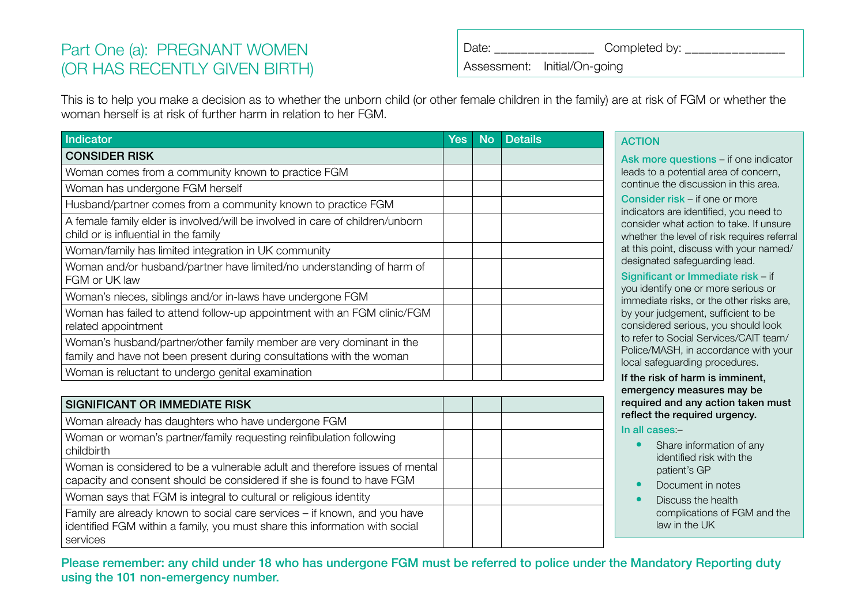## Part One (a): PREGNANT WOMEN (OR HAS RECENTLY GIVEN BIRTH)

| Date: | Completed by:                |
|-------|------------------------------|
|       | Assessment: Initial/On-going |

This is to help you make a decision as to whether the unborn child (or other female children in the family) are at risk of FGM or whether the woman herself is at risk of further harm in relation to her FGM.

| Indicator                                                                                                                                    | <b>Yes</b> | <b>No</b> | <b>Details</b> |
|----------------------------------------------------------------------------------------------------------------------------------------------|------------|-----------|----------------|
| <b>CONSIDER RISK</b>                                                                                                                         |            |           |                |
| Woman comes from a community known to practice FGM                                                                                           |            |           |                |
| Woman has undergone FGM herself                                                                                                              |            |           |                |
| Husband/partner comes from a community known to practice FGM                                                                                 |            |           |                |
| A female family elder is involved/will be involved in care of children/unborn<br>child or is influential in the family                       |            |           |                |
| Woman/family has limited integration in UK community                                                                                         |            |           |                |
| Woman and/or husband/partner have limited/no understanding of harm of<br>FGM or UK law                                                       |            |           |                |
| Woman's nieces, siblings and/or in-laws have undergone FGM                                                                                   |            |           |                |
| Woman has failed to attend follow-up appointment with an FGM clinic/FGM<br>related appointment                                               |            |           |                |
| Woman's husband/partner/other family member are very dominant in the<br>family and have not been present during consultations with the woman |            |           |                |
| Woman is reluctant to undergo genital examination                                                                                            |            |           |                |

| <b>SIGNIFICANT OR IMMEDIATE RISK</b>                                                                                                                                 |  |  |
|----------------------------------------------------------------------------------------------------------------------------------------------------------------------|--|--|
| Woman already has daughters who have undergone FGM                                                                                                                   |  |  |
| Woman or woman's partner/family requesting reinfibulation following<br>childbirth                                                                                    |  |  |
| Woman is considered to be a vulnerable adult and therefore issues of mental<br>capacity and consent should be considered if she is found to have FGM                 |  |  |
| Woman says that FGM is integral to cultural or religious identity                                                                                                    |  |  |
| Family are already known to social care services - if known, and you have<br>identified FGM within a family, you must share this information with social<br>services |  |  |

#### ACTION

Ask more questions – if one indicator leads to a potential area of concern, continue the discussion in this area.

Consider risk – if one or more indicators are identified, you need to consider what action to take. If unsure whether the level of risk requires referral at this point, discuss with your named/ designated safeguarding lead.

Significant or Immediate risk – if you identify one or more serious or immediate risks, or the other risks are, by your judgement, sufficient to be considered serious, you should look to refer to Social Services/CAIT team/ Police/MASH, in accordance with your local safeguarding procedures.

If the risk of harm is imminent, emergency measures may be required and any action taken must reflect the required urgency.

In all cases:–

- Share information of any identified risk with the patient's GP
- Document in notes
- Discuss the health complications of FGM and the law in the UK

Please remember: any child under 18 who has undergone FGM must be referred to police under the Mandatory Reporting duty using the 101 non-emergency number.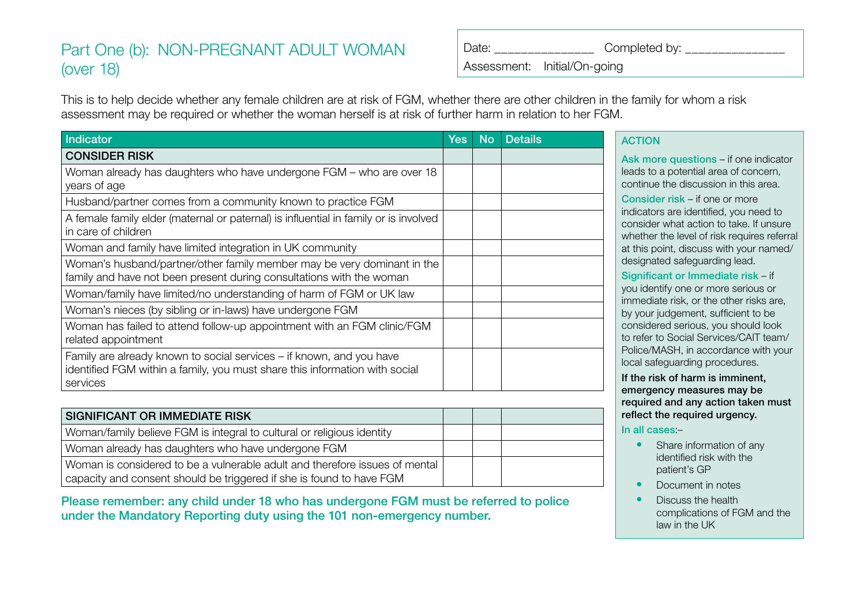# Part One (b): NON-PREGNANT ADULT WOMAN (over 18)

Date: Completed by: Assessment: Initial/On-going

This is to help decide whether any female children are at risk of FGM, whether there are other children in the family for whom a risk assessment may be required or whether the woman herself is at risk of further harm in relation to her FGM.

| Indicator                                                                                                                                           | Yes | <b>No</b> | <b>Details</b> |
|-----------------------------------------------------------------------------------------------------------------------------------------------------|-----|-----------|----------------|
| <b>CONSIDER RISK</b>                                                                                                                                |     |           |                |
| Woman already has daughters who have undergone FGM - who are over 18                                                                                |     |           |                |
| years of age                                                                                                                                        |     |           |                |
| Husband/partner comes from a community known to practice FGM                                                                                        |     |           |                |
| A female family elder (maternal or paternal) is influential in family or is involved<br>in care of children                                         |     |           |                |
| Woman and family have limited integration in UK community                                                                                           |     |           |                |
| Woman's husband/partner/other family member may be very dominant in the<br>family and have not been present during consultations with the woman     |     |           |                |
| Woman/family have limited/no understanding of harm of FGM or UK law                                                                                 |     |           |                |
| Woman's nieces (by sibling or in-laws) have undergone FGM                                                                                           |     |           |                |
| Woman has failed to attend follow-up appointment with an FGM clinic/FGM<br>related appointment                                                      |     |           |                |
| Family are already known to social services – if known, and you have<br>identified FGM within a family, you must share this information with social |     |           |                |
| services                                                                                                                                            |     |           |                |

| SIGNIFICANT OR IMMEDIATE RISK                                                                                                                       |  |  |
|-----------------------------------------------------------------------------------------------------------------------------------------------------|--|--|
| Woman/family believe FGM is integral to cultural or religious identity                                                                              |  |  |
| Woman already has daughters who have undergone FGM                                                                                                  |  |  |
| Woman is considered to be a vulnerable adult and therefore issues of mental<br>capacity and consent should be triggered if she is found to have FGM |  |  |

Please remember: any child under 18 who has undergone FGM must be referred to police under the Mandatory Reporting duty using the 101 non-emergency number.

### **CTION**

Ask more questions – if one indicator eads to a potential area of concern, continue the discussion in this area.

Consider risk – if one or more ndicators are identified, you need to consider what action to take. If unsure whether the level of risk requires referral at this point, discuss with your named/ designated safeguarding lead.

Significant or Immediate risk – if you identify one or more serious or mmediate risk, or the other risks are, by your judgement, sufficient to be considered serious, you should look o refer to Social Services/CAIT team/ Police/MASH, in accordance with your ocal safeguarding procedures.

the risk of harm is imminent. emergency measures may be required and any action taken must reflect the required urgency.

In all cases:–

- Share information of any identified risk with the patient's GP
- Document in notes
- Discuss the health complications of FGM and the law in the UK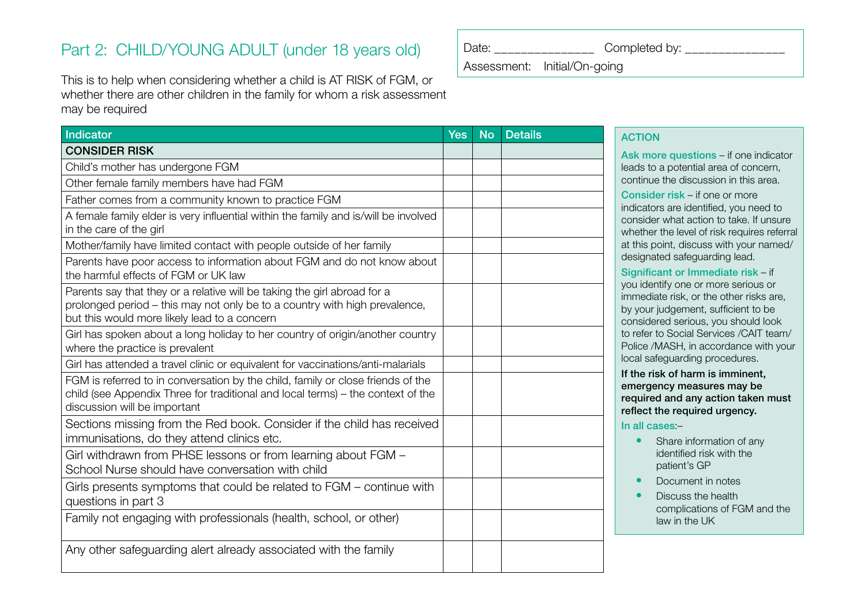# Part 2: CHILD/YOUNG ADULT (under 18 years old)

This is to help when considering whether a child is AT RISK of FGM, or whether there are other children in the family for whom a risk assessment may be required

| <b>Indicator</b>                                                                                                                                                                                       | <b>Yes</b> | <b>No</b> | <b>Details</b> |
|--------------------------------------------------------------------------------------------------------------------------------------------------------------------------------------------------------|------------|-----------|----------------|
| <b>CONSIDER RISK</b>                                                                                                                                                                                   |            |           |                |
| Child's mother has undergone FGM                                                                                                                                                                       |            |           |                |
| Other female family members have had FGM                                                                                                                                                               |            |           |                |
| Father comes from a community known to practice FGM                                                                                                                                                    |            |           |                |
| A female family elder is very influential within the family and is/will be involved<br>in the care of the girl                                                                                         |            |           |                |
| Mother/family have limited contact with people outside of her family                                                                                                                                   |            |           |                |
| Parents have poor access to information about FGM and do not know about<br>the harmful effects of FGM or UK law                                                                                        |            |           |                |
| Parents say that they or a relative will be taking the girl abroad for a<br>prolonged period – this may not only be to a country with high prevalence,<br>but this would more likely lead to a concern |            |           |                |
| Girl has spoken about a long holiday to her country of origin/another country<br>where the practice is prevalent                                                                                       |            |           |                |
| Girl has attended a travel clinic or equivalent for vaccinations/anti-malarials                                                                                                                        |            |           |                |
| FGM is referred to in conversation by the child, family or close friends of the<br>child (see Appendix Three for traditional and local terms) – the context of the<br>discussion will be important     |            |           |                |
| Sections missing from the Red book. Consider if the child has received<br>immunisations, do they attend clinics etc.                                                                                   |            |           |                |
| Girl withdrawn from PHSE lessons or from learning about FGM -<br>School Nurse should have conversation with child                                                                                      |            |           |                |
| Girls presents symptoms that could be related to FGM – continue with<br>questions in part 3                                                                                                            |            |           |                |
| Family not engaging with professionals (health, school, or other)                                                                                                                                      |            |           |                |
| Any other safeguarding alert already associated with the family                                                                                                                                        |            |           |                |

| Date: | Completed by: |
|-------|---------------|
|       |               |

Assessment: Initial/On-going

#### **ACTION**

Ask more questions – if one indicator leads to a potential area of concern, continue the discussion in this area.

Consider risk – if one or more indicators are identified, you need to consider what action to take. If unsure whether the level of risk requires referral at this point, discuss with your named/ designated safeguarding lead.

Significant or Immediate risk – if you identify one or more serious or

immediate risk, or the other risks are, by your judgement, sufficient to be considered serious, you should look to refer to Social Services /CAIT team/ Police /MASH, in accordance with your local safeguarding procedures.

If the risk of harm is imminent, emergency measures may be required and any action taken must reflect the required urgency.

In all cases:–

- Share information of any identified risk with the patient's GP
- Document in notes
- Discuss the health complications of FGM and the law in the UK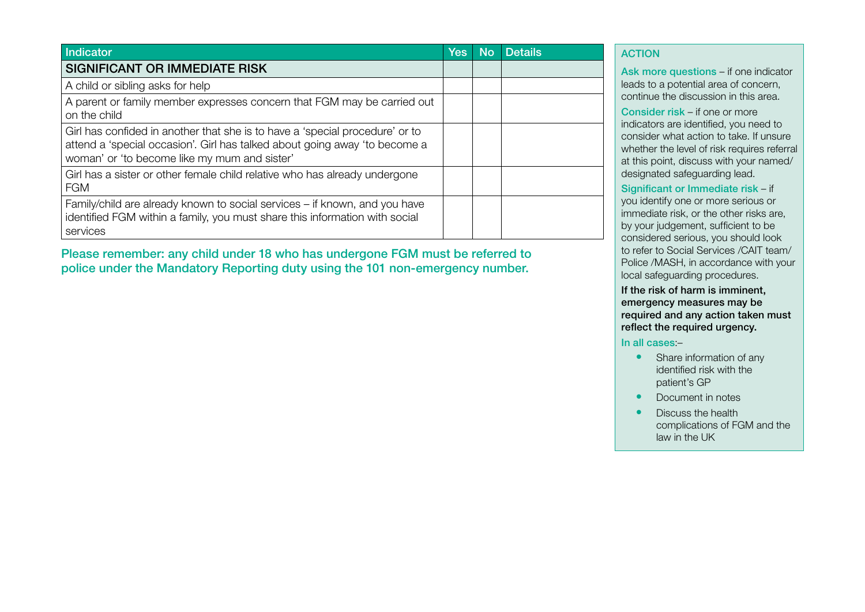| Indicator                                                                                                                                                                                                  | Yes | <b>No</b> | <b>Details</b> |
|------------------------------------------------------------------------------------------------------------------------------------------------------------------------------------------------------------|-----|-----------|----------------|
| <b>SIGNIFICANT OR IMMEDIATE RISK</b>                                                                                                                                                                       |     |           |                |
| A child or sibling asks for help                                                                                                                                                                           |     |           |                |
| A parent or family member expresses concern that FGM may be carried out<br>on the child                                                                                                                    |     |           |                |
| Girl has confided in another that she is to have a 'special procedure' or to<br>attend a 'special occasion'. Girl has talked about going away 'to become a<br>woman' or 'to become like my mum and sister' |     |           |                |
| Girl has a sister or other female child relative who has already undergone<br><b>FGM</b>                                                                                                                   |     |           |                |
| Family/child are already known to social services – if known, and you have<br>identified FGM within a family, you must share this information with social<br>services                                      |     |           |                |

Please remember: any child under 18 who has undergone FGM must be referred to police under the Mandatory Reporting duty using the 101 non-emergency number.

#### ACTION

Ask more questions – if one indicator leads to a potential area of concern, continue the discussion in this area.

Consider risk – if one or more indicators are identified, you need to consider what action to take. If unsure whether the level of risk requires referral at this point, discuss with your named/ designated safeguarding lead.

Significant or Immediate risk – if you identify one or more serious or immediate risk, or the other risks are, by your judgement, sufficient to be considered serious, you should look to refer to Social Services /CAIT team/ Police /MASH, in accordance with your local safeguarding procedures.

If the risk of harm is imminent, emergency measures may be required and any action taken must reflect the required urgency.

In all cases:–

- Share information of any identified risk with the patient's GP
- Document in notes
- Discuss the health complications of FGM and the law in the UK